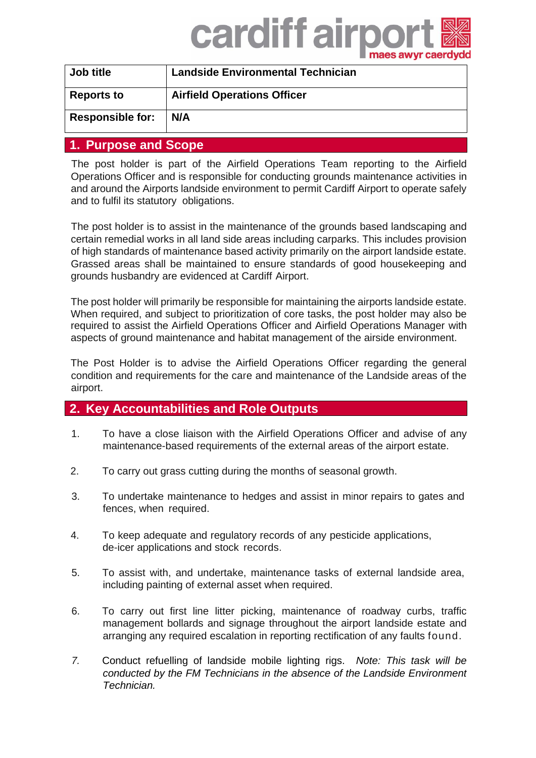# cardiff airpor

| Job title               | <b>Landside Environmental Technician</b> |  |
|-------------------------|------------------------------------------|--|
| <b>Reports to</b>       | <b>Airfield Operations Officer</b>       |  |
| <b>Responsible for:</b> | N/A                                      |  |
|                         |                                          |  |

#### **1. Purpose and Scope**

The post holder is part of the Airfield Operations Team reporting to the Airfield Operations Officer and is responsible for conducting grounds maintenance activities in and around the Airports landside environment to permit Cardiff Airport to operate safely and to fulfil its statutory obligations.

The post holder is to assist in the maintenance of the grounds based landscaping and certain remedial works in all land side areas including carparks. This includes provision of high standards of maintenance based activity primarily on the airport landside estate. Grassed areas shall be maintained to ensure standards of good housekeeping and grounds husbandry are evidenced at Cardiff Airport.

The post holder will primarily be responsible for maintaining the airports landside estate. When required, and subject to prioritization of core tasks, the post holder may also be required to assist the Airfield Operations Officer and Airfield Operations Manager with aspects of ground maintenance and habitat management of the airside environment.

The Post Holder is to advise the Airfield Operations Officer regarding the general condition and requirements for the care and maintenance of the Landside areas of the airport.

### **2. Key Accountabilities and Role Outputs**

- 1. To have a close liaison with the Airfield Operations Officer and advise of any maintenance-based requirements of the external areas of the airport estate.
- 2. To carry out grass cutting during the months of seasonal growth.
- 3. To undertake maintenance to hedges and assist in minor repairs to gates and fences, when required.
- 4. To keep adequate and regulatory records of any pesticide applications, de-icer applications and stock records.
- 5. To assist with, and undertake, maintenance tasks of external landside area, including painting of external asset when required.
- 6. To carry out first line litter picking, maintenance of roadway curbs, traffic management bollards and signage throughout the airport landside estate and arranging any required escalation in reporting rectification of any faults found.
- *7.* Conduct refuelling of landside mobile lighting rigs. *Note: This task will be conducted by the FM Technicians in the absence of the Landside Environment Technician.*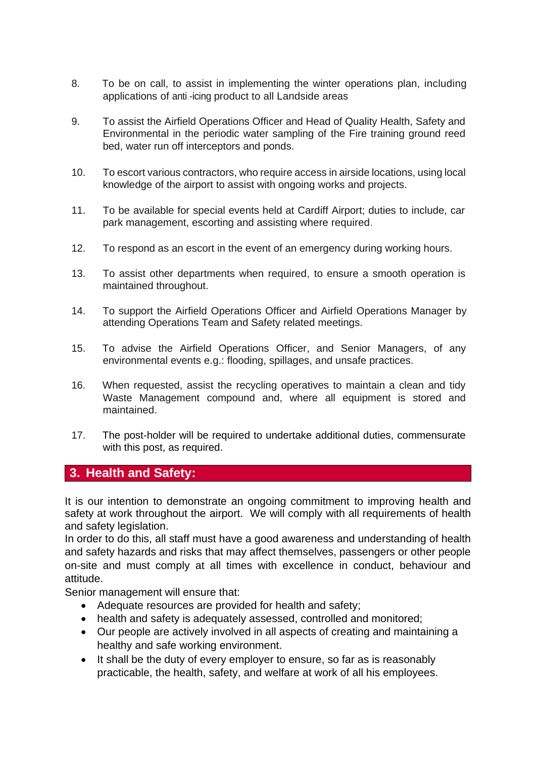- 8. To be on call, to assist in implementing the winter operations plan, including applications of anti.-icing product to all Landside areas
- 9. To assist the Airfield Operations Officer and Head of Quality Health, Safety and Environmental in the periodic water sampling of the Fire training ground reed bed, water run off interceptors and ponds.
- 10. To escort various contractors, who require access in airside locations, using local knowledge of the airport to assist with ongoing works and projects.
- 11. To be available for special events held at Cardiff Airport; duties to include, car park management, escorting and assisting where required.
- 12. To respond as an escort in the event of an emergency during working hours.
- 13. To assist other departments when required, to ensure a smooth operation is maintained throughout.
- 14. To support the Airfield Operations Officer and Airfield Operations Manager by attending Operations Team and Safety related meetings.
- 15. To advise the Airfield Operations Officer, and Senior Managers, of any environmental events e.g.: flooding, spillages, and unsafe practices.
- 16. When requested, assist the recycling operatives to maintain a clean and tidy Waste Management compound and, where all equipment is stored and maintained.
- 17. The post-holder will be required to undertake additional duties, commensurate with this post, as required.

#### **3. Health and Safety:**

It is our intention to demonstrate an ongoing commitment to improving health and safety at work throughout the airport. We will comply with all requirements of health and safety legislation.

In order to do this, all staff must have a good awareness and understanding of health and safety hazards and risks that may affect themselves, passengers or other people on-site and must comply at all times with excellence in conduct, behaviour and attitude.

Senior management will ensure that:

- Adequate resources are provided for health and safety;
- health and safety is adequately assessed, controlled and monitored;
- Our people are actively involved in all aspects of creating and maintaining a healthy and safe working environment.
- It shall be the duty of every employer to ensure, so far as is reasonably practicable, the health, safety, and welfare at work of all his employees.